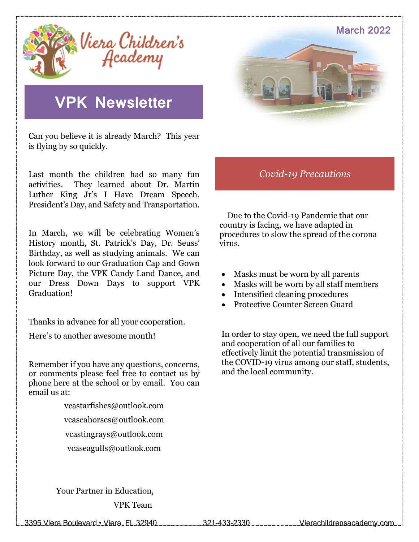

### **VPK Newsletter**

Can you believe it is already March? This year is flying by so quickly.

Last month the children had so many fun activities. They learned about Dr. Martin Luther King Jr's I Have Dream Speech, President's Day, and Safety and Transportation.

In March, we will be celebrating Women's History month, St. Patrick's Day, Dr. Seuss' Birthday, as well as studying animals. We can look forward to our Graduation Cap and Gown Picture Day, the VPK Candy Land Dance, and our Dress Down Days to support VPK Graduation!

Thanks in advance for all your cooperation.

Here's to another awesome month!

Remember if you have any questions, concerns, or comments please feel free to contact us by phone here at the school or by email. You can email us at:

> vcastarfishes@outlook.com vcaseahorses@outlook.com vcastingrays@outlook.com [vcaseagulls@outlook.com](mailto:vcaseagulls@outlook.com)

March 2022

#### *Covid-19 Precautions*

 Due to the Covid-19 Pandemic that our country is facing, we have adapted in procedures to slow the spread of the corona virus.

- Masks must be worn by all parents
- Masks will be worn by all staff members
- Intensified cleaning procedures
- Protective Counter Screen Guard

In order to stay open, we need the full support and cooperation of all our families to effectively limit the potential transmission of the COVID-19 virus among our staff, students, and the local community.

 Your Partner in Education, VPK Team

3395 Viera Boulevard • Viera, FL 32940 321-433-2330 Vierachildrensacademy.com